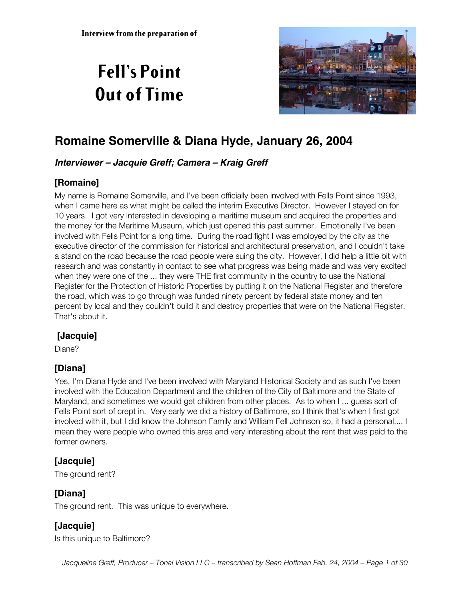# **Fell's Point Out of Time**



# **Romaine Somerville & Diana Hyde, January 26, 2004**

#### **Interviewer – Jacquie Greff; Camera – Kraig Greff**

# **[Romaine]**

My name is Romaine Somerville, and I've been officially been involved with Fells Point since 1993, when I came here as what might be called the interim Executive Director. However I stayed on for 10 years. I got very interested in developing a maritime museum and acquired the properties and the money for the Maritime Museum, which just opened this past summer. Emotionally I've been involved with Fells Point for a long time. During the road fight I was employed by the city as the executive director of the commission for historical and architectural preservation, and I couldn't take a stand on the road because the road people were suing the city. However, I did help a little bit with research and was constantly in contact to see what progress was being made and was very excited when they were one of the ... they were THE first community in the country to use the National Register for the Protection of Historic Properties by putting it on the National Register and therefore the road, which was to go through was funded ninety percent by federal state money and ten percent by local and they couldn't build it and destroy properties that were on the National Register. That's about it.

# **[Jacquie]**

Diane?

# **[Diana]**

Yes, I'm Diana Hyde and I've been involved with Maryland Historical Society and as such I've been involved with the Education Department and the children of the City of Baltimore and the State of Maryland, and sometimes we would get children from other places. As to when I ... guess sort of Fells Point sort of crept in. Very early we did a history of Baltimore, so I think that's when I first got involved with it, but I did know the Johnson Family and William Fell Johnson so, it had a personal.... I mean they were people who owned this area and very interesting about the rent that was paid to the former owners.

# **[Jacquie]**

The ground rent?

# **[Diana]**

The ground rent. This was unique to everywhere.

# **[Jacquie]**

Is this unique to Baltimore?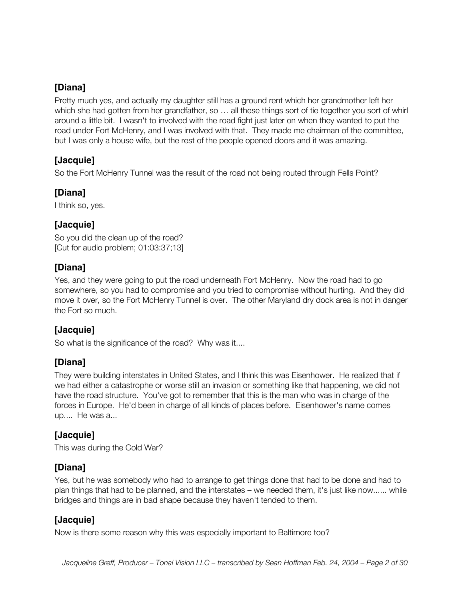Pretty much yes, and actually my daughter still has a ground rent which her grandmother left her which she had gotten from her grandfather, so … all these things sort of tie together you sort of whirl around a little bit. I wasn't to involved with the road fight just later on when they wanted to put the road under Fort McHenry, and I was involved with that. They made me chairman of the committee, but I was only a house wife, but the rest of the people opened doors and it was amazing.

# **[Jacquie]**

So the Fort McHenry Tunnel was the result of the road not being routed through Fells Point?

# **[Diana]**

I think so, yes.

# **[Jacquie]**

So you did the clean up of the road? [Cut for audio problem; 01:03:37;13]

# **[Diana]**

Yes, and they were going to put the road underneath Fort McHenry. Now the road had to go somewhere, so you had to compromise and you tried to compromise without hurting. And they did move it over, so the Fort McHenry Tunnel is over. The other Maryland dry dock area is not in danger the Fort so much.

# **[Jacquie]**

So what is the significance of the road? Why was it....

# **[Diana]**

They were building interstates in United States, and I think this was Eisenhower. He realized that if we had either a catastrophe or worse still an invasion or something like that happening, we did not have the road structure. You've got to remember that this is the man who was in charge of the forces in Europe. He'd been in charge of all kinds of places before. Eisenhower's name comes up.... He was a...

# **[Jacquie]**

This was during the Cold War?

# **[Diana]**

Yes, but he was somebody who had to arrange to get things done that had to be done and had to plan things that had to be planned, and the interstates – we needed them, it's just like now...... while bridges and things are in bad shape because they haven't tended to them.

# **[Jacquie]**

Now is there some reason why this was especially important to Baltimore too?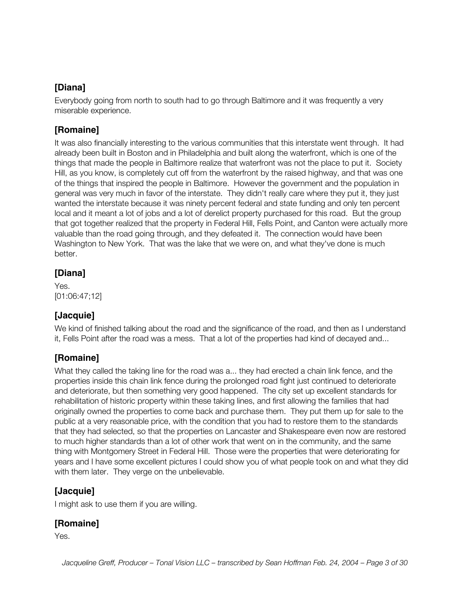Everybody going from north to south had to go through Baltimore and it was frequently a very miserable experience.

# **[Romaine]**

It was also financially interesting to the various communities that this interstate went through. It had already been built in Boston and in Philadelphia and built along the waterfront, which is one of the things that made the people in Baltimore realize that waterfront was not the place to put it. Society Hill, as you know, is completely cut off from the waterfront by the raised highway, and that was one of the things that inspired the people in Baltimore. However the government and the population in general was very much in favor of the interstate. They didn't really care where they put it, they just wanted the interstate because it was ninety percent federal and state funding and only ten percent local and it meant a lot of jobs and a lot of derelict property purchased for this road. But the group that got together realized that the property in Federal Hill, Fells Point, and Canton were actually more valuable than the road going through, and they defeated it. The connection would have been Washington to New York. That was the lake that we were on, and what they've done is much better.

# **[Diana]**

Yes. [01:06:47;12]

# **[Jacquie]**

We kind of finished talking about the road and the significance of the road, and then as I understand it, Fells Point after the road was a mess. That a lot of the properties had kind of decayed and...

# **[Romaine]**

What they called the taking line for the road was a... they had erected a chain link fence, and the properties inside this chain link fence during the prolonged road fight just continued to deteriorate and deteriorate, but then something very good happened. The city set up excellent standards for rehabilitation of historic property within these taking lines, and first allowing the families that had originally owned the properties to come back and purchase them. They put them up for sale to the public at a very reasonable price, with the condition that you had to restore them to the standards that they had selected, so that the properties on Lancaster and Shakespeare even now are restored to much higher standards than a lot of other work that went on in the community, and the same thing with Montgomery Street in Federal Hill. Those were the properties that were deteriorating for years and I have some excellent pictures I could show you of what people took on and what they did with them later. They verge on the unbelievable.

# **[Jacquie]**

I might ask to use them if you are willing.

# **[Romaine]**

Yes.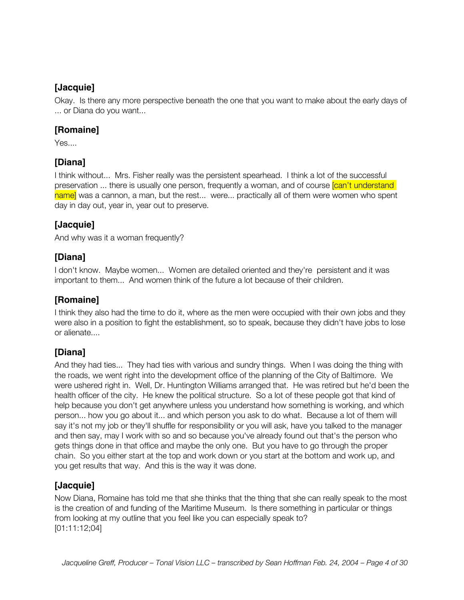Okay. Is there any more perspective beneath the one that you want to make about the early days of ... or Diana do you want...

#### **[Romaine]**

Yes....

# **[Diana]**

I think without... Mrs. Fisher really was the persistent spearhead. I think a lot of the successful preservation ... there is usually one person, frequently a woman, and of course can't understand name] was a cannon, a man, but the rest... were... practically all of them were women who spent day in day out, year in, year out to preserve.

# **[Jacquie]**

And why was it a woman frequently?

# **[Diana]**

I don't know. Maybe women... Women are detailed oriented and they're persistent and it was important to them... And women think of the future a lot because of their children.

#### **[Romaine]**

I think they also had the time to do it, where as the men were occupied with their own jobs and they were also in a position to fight the establishment, so to speak, because they didn't have jobs to lose or alienate....

# **[Diana]**

And they had ties... They had ties with various and sundry things. When I was doing the thing with the roads, we went right into the development office of the planning of the City of Baltimore. We were ushered right in. Well, Dr. Huntington Williams arranged that. He was retired but he'd been the health officer of the city. He knew the political structure. So a lot of these people got that kind of help because you don't get anywhere unless you understand how something is working, and which person... how you go about it... and which person you ask to do what. Because a lot of them will say it's not my job or they'll shuffle for responsibility or you will ask, have you talked to the manager and then say, may I work with so and so because you've already found out that's the person who gets things done in that office and maybe the only one. But you have to go through the proper chain. So you either start at the top and work down or you start at the bottom and work up, and you get results that way. And this is the way it was done.

# **[Jacquie]**

Now Diana, Romaine has told me that she thinks that the thing that she can really speak to the most is the creation of and funding of the Maritime Museum. Is there something in particular or things from looking at my outline that you feel like you can especially speak to? [01:11:12;04]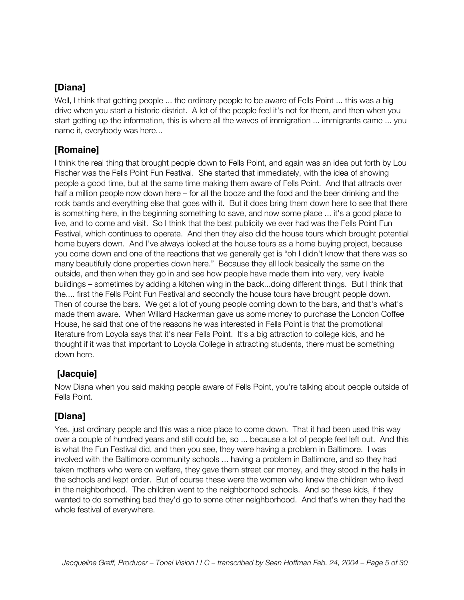Well, I think that getting people ... the ordinary people to be aware of Fells Point ... this was a big drive when you start a historic district. A lot of the people feel it's not for them, and then when you start getting up the information, this is where all the waves of immigration ... immigrants came ... you name it, everybody was here...

#### **[Romaine]**

I think the real thing that brought people down to Fells Point, and again was an idea put forth by Lou Fischer was the Fells Point Fun Festival. She started that immediately, with the idea of showing people a good time, but at the same time making them aware of Fells Point. And that attracts over half a million people now down here – for all the booze and the food and the beer drinking and the rock bands and everything else that goes with it. But it does bring them down here to see that there is something here, in the beginning something to save, and now some place ... it's a good place to live, and to come and visit. So I think that the best publicity we ever had was the Fells Point Fun Festival, which continues to operate. And then they also did the house tours which brought potential home buyers down. And I've always looked at the house tours as a home buying project, because you come down and one of the reactions that we generally get is "oh I didn't know that there was so many beautifully done properties down here." Because they all look basically the same on the outside, and then when they go in and see how people have made them into very, very livable buildings – sometimes by adding a kitchen wing in the back...doing different things. But I think that the.... first the Fells Point Fun Festival and secondly the house tours have brought people down. Then of course the bars. We get a lot of young people coming down to the bars, and that's what's made them aware. When Willard Hackerman gave us some money to purchase the London Coffee House, he said that one of the reasons he was interested in Fells Point is that the promotional literature from Loyola says that it's near Fells Point. It's a big attraction to college kids, and he thought if it was that important to Loyola College in attracting students, there must be something down here.

# **[Jacquie]**

Now Diana when you said making people aware of Fells Point, you're talking about people outside of Fells Point.

# **[Diana]**

Yes, just ordinary people and this was a nice place to come down. That it had been used this way over a couple of hundred years and still could be, so ... because a lot of people feel left out. And this is what the Fun Festival did, and then you see, they were having a problem in Baltimore. I was involved with the Baltimore community schools ... having a problem in Baltimore, and so they had taken mothers who were on welfare, they gave them street car money, and they stood in the halls in the schools and kept order. But of course these were the women who knew the children who lived in the neighborhood. The children went to the neighborhood schools. And so these kids, if they wanted to do something bad they'd go to some other neighborhood. And that's when they had the whole festival of everywhere.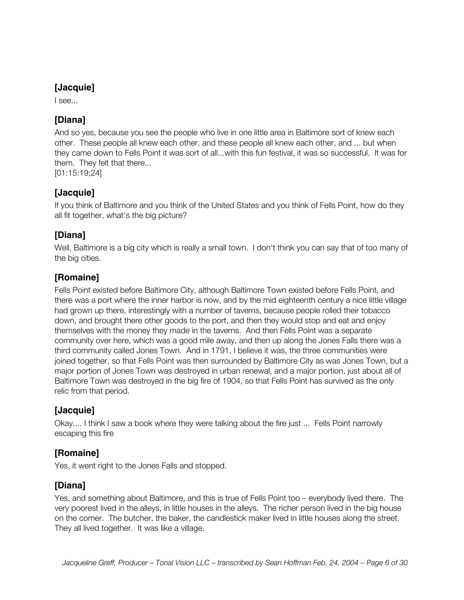I see...

# **[Diana]**

And so yes, because you see the people who live in one little area in Baltimore sort of knew each other. These people all knew each other, and these people all knew each other, and ... but when they came down to Fells Point it was sort of all...with this fun festival, it was so successful. It was for them. They felt that there...

[01:15:19;24]

# **[Jacquie]**

If you think of Baltimore and you think of the United States and you think of Fells Point, how do they all fit together, what's the big picture?

# **[Diana]**

Well, Baltimore is a big city which is really a small town. I don't think you can say that of too many of the big cities.

# **[Romaine]**

Fells Point existed before Baltimore City, although Baltimore Town existed before Fells Point, and there was a port where the inner harbor is now, and by the mid eighteenth century a nice little village had grown up there, interestingly with a number of taverns, because people rolled their tobacco down, and brought there other goods to the port, and then they would stop and eat and enjoy themselves with the money they made in the taverns. And then Fells Point was a separate community over here, which was a good mile away, and then up along the Jones Falls there was a third community called Jones Town. And in 1791, I believe it was, the three communities were joined together, so that Fells Point was then surrounded by Baltimore City as was Jones Town, but a major portion of Jones Town was destroyed in urban renewal, and a major portion, just about all of Baltimore Town was destroyed in the big fire of 1904, so that Fells Point has survived as the only relic from that period.

# **[Jacquie]**

Okay.... I think I saw a book where they were talking about the fire just ... Fells Point narrowly escaping this fire

# **[Romaine]**

Yes, it went right to the Jones Falls and stopped.

# **[Diana]**

Yes, and something about Baltimore, and this is true of Fells Point too – everybody lived there. The very poorest lived in the alleys, in little houses in the alleys. The richer person lived in the big house on the corner. The butcher, the baker, the candlestick maker lived in little houses along the street. They all lived together. It was like a village.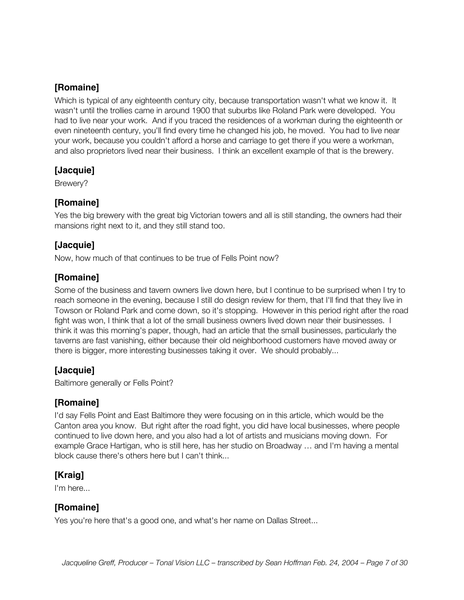Which is typical of any eighteenth century city, because transportation wasn't what we know it. It wasn't until the trollies came in around 1900 that suburbs like Roland Park were developed. You had to live near your work. And if you traced the residences of a workman during the eighteenth or even nineteenth century, you'll find every time he changed his job, he moved. You had to live near your work, because you couldn't afford a horse and carriage to get there if you were a workman, and also proprietors lived near their business. I think an excellent example of that is the brewery.

# **[Jacquie]**

Brewery?

# **[Romaine]**

Yes the big brewery with the great big Victorian towers and all is still standing, the owners had their mansions right next to it, and they still stand too.

# **[Jacquie]**

Now, how much of that continues to be true of Fells Point now?

#### **[Romaine]**

Some of the business and tavern owners live down here, but I continue to be surprised when I try to reach someone in the evening, because I still do design review for them, that I'll find that they live in Towson or Roland Park and come down, so it's stopping. However in this period right after the road fight was won, I think that a lot of the small business owners lived down near their businesses. I think it was this morning's paper, though, had an article that the small businesses, particularly the taverns are fast vanishing, either because their old neighborhood customers have moved away or there is bigger, more interesting businesses taking it over. We should probably...

# **[Jacquie]**

Baltimore generally or Fells Point?

# **[Romaine]**

I'd say Fells Point and East Baltimore they were focusing on in this article, which would be the Canton area you know. But right after the road fight, you did have local businesses, where people continued to live down here, and you also had a lot of artists and musicians moving down. For example Grace Hartigan, who is still here, has her studio on Broadway … and I'm having a mental block cause there's others here but I can't think...

# **[Kraig]**

I'm here...

# **[Romaine]**

Yes you're here that's a good one, and what's her name on Dallas Street...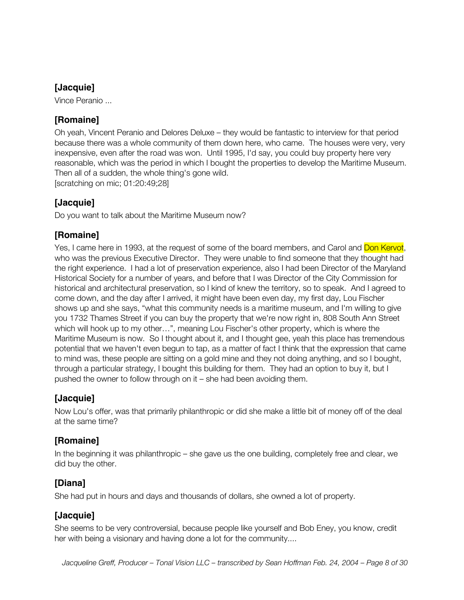Vince Peranio ...

# **[Romaine]**

Oh yeah, Vincent Peranio and Delores Deluxe – they would be fantastic to interview for that period because there was a whole community of them down here, who came. The houses were very, very inexpensive, even after the road was won. Until 1995, I'd say, you could buy property here very reasonable, which was the period in which I bought the properties to develop the Maritime Museum. Then all of a sudden, the whole thing's gone wild. [scratching on mic; 01:20:49;28]

# **[Jacquie]**

Do you want to talk about the Maritime Museum now?

#### **[Romaine]**

Yes, I came here in 1993, at the request of some of the board members, and Carol and Don Kervot, who was the previous Executive Director. They were unable to find someone that they thought had the right experience. I had a lot of preservation experience, also I had been Director of the Maryland Historical Society for a number of years, and before that I was Director of the City Commission for historical and architectural preservation, so I kind of knew the territory, so to speak. And I agreed to come down, and the day after I arrived, it might have been even day, my first day, Lou Fischer shows up and she says, "what this community needs is a maritime museum, and I'm willing to give you 1732 Thames Street if you can buy the property that we're now right in, 808 South Ann Street which will hook up to my other…", meaning Lou Fischer's other property, which is where the Maritime Museum is now. So I thought about it, and I thought gee, yeah this place has tremendous potential that we haven't even begun to tap, as a matter of fact I think that the expression that came to mind was, these people are sitting on a gold mine and they not doing anything, and so I bought, through a particular strategy, I bought this building for them. They had an option to buy it, but I pushed the owner to follow through on it – she had been avoiding them.

# **[Jacquie]**

Now Lou's offer, was that primarily philanthropic or did she make a little bit of money off of the deal at the same time?

# **[Romaine]**

In the beginning it was philanthropic – she gave us the one building, completely free and clear, we did buy the other.

# **[Diana]**

She had put in hours and days and thousands of dollars, she owned a lot of property.

# **[Jacquie]**

She seems to be very controversial, because people like yourself and Bob Eney, you know, credit her with being a visionary and having done a lot for the community....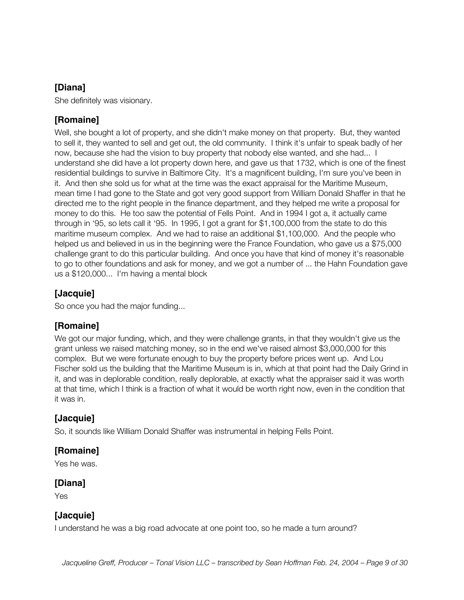She definitely was visionary.

#### **[Romaine]**

Well, she bought a lot of property, and she didn't make money on that property. But, they wanted to sell it, they wanted to sell and get out, the old community. I think it's unfair to speak badly of her now, because she had the vision to buy property that nobody else wanted, and she had... I understand she did have a lot property down here, and gave us that 1732, which is one of the finest residential buildings to survive in Baltimore City. It's a magnificent building, I'm sure you've been in it. And then she sold us for what at the time was the exact appraisal for the Maritime Museum, mean time I had gone to the State and got very good support from William Donald Shaffer in that he directed me to the right people in the finance department, and they helped me write a proposal for money to do this. He too saw the potential of Fells Point. And in 1994 I got a, it actually came through in '95, so lets call it '95. In 1995, I got a grant for \$1,100,000 from the state to do this maritime museum complex. And we had to raise an additional \$1,100,000. And the people who helped us and believed in us in the beginning were the France Foundation, who gave us a \$75,000 challenge grant to do this particular building. And once you have that kind of money it's reasonable to go to other foundations and ask for money, and we got a number of ... the Hahn Foundation gave us a \$120,000... I'm having a mental block

# **[Jacquie]**

So once you had the major funding...

# **[Romaine]**

We got our major funding, which, and they were challenge grants, in that they wouldn't give us the grant unless we raised matching money, so in the end we've raised almost \$3,000,000 for this complex. But we were fortunate enough to buy the property before prices went up. And Lou Fischer sold us the building that the Maritime Museum is in, which at that point had the Daily Grind in it, and was in deplorable condition, really deplorable, at exactly what the appraiser said it was worth at that time, which I think is a fraction of what it would be worth right now, even in the condition that it was in.

# **[Jacquie]**

So, it sounds like William Donald Shaffer was instrumental in helping Fells Point.

#### **[Romaine]**

Yes he was.

#### **[Diana]**

Yes

# **[Jacquie]**

I understand he was a big road advocate at one point too, so he made a turn around?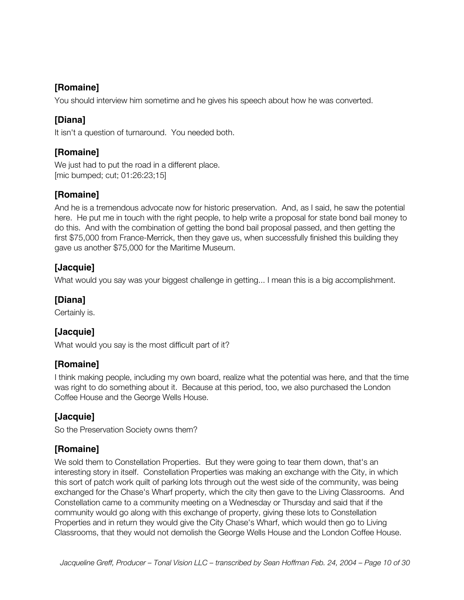You should interview him sometime and he gives his speech about how he was converted.

# **[Diana]**

It isn't a question of turnaround. You needed both.

# **[Romaine]**

We just had to put the road in a different place. [mic bumped; cut; 01:26:23;15]

# **[Romaine]**

And he is a tremendous advocate now for historic preservation. And, as I said, he saw the potential here. He put me in touch with the right people, to help write a proposal for state bond bail money to do this. And with the combination of getting the bond bail proposal passed, and then getting the first \$75,000 from France-Merrick, then they gave us, when successfully finished this building they gave us another \$75,000 for the Maritime Museum.

# **[Jacquie]**

What would you say was your biggest challenge in getting... I mean this is a big accomplishment.

#### **[Diana]**

Certainly is.

# **[Jacquie]**

What would you say is the most difficult part of it?

# **[Romaine]**

I think making people, including my own board, realize what the potential was here, and that the time was right to do something about it. Because at this period, too, we also purchased the London Coffee House and the George Wells House.

# **[Jacquie]**

So the Preservation Society owns them?

#### **[Romaine]**

We sold them to Constellation Properties. But they were going to tear them down, that's an interesting story in itself. Constellation Properties was making an exchange with the City, in which this sort of patch work quilt of parking lots through out the west side of the community, was being exchanged for the Chase's Wharf property, which the city then gave to the Living Classrooms. And Constellation came to a community meeting on a Wednesday or Thursday and said that if the community would go along with this exchange of property, giving these lots to Constellation Properties and in return they would give the City Chase's Wharf, which would then go to Living Classrooms, that they would not demolish the George Wells House and the London Coffee House.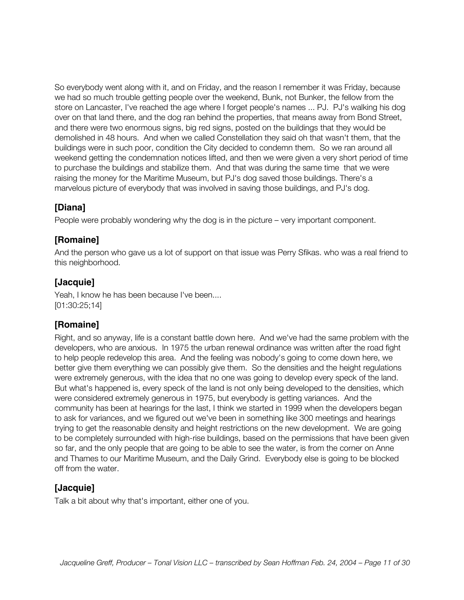So everybody went along with it, and on Friday, and the reason I remember it was Friday, because we had so much trouble getting people over the weekend, Bunk, not Bunker, the fellow from the store on Lancaster, I've reached the age where I forget people's names ... PJ. PJ's walking his dog over on that land there, and the dog ran behind the properties, that means away from Bond Street, and there were two enormous signs, big red signs, posted on the buildings that they would be demolished in 48 hours. And when we called Constellation they said oh that wasn't them, that the buildings were in such poor, condition the City decided to condemn them. So we ran around all weekend getting the condemnation notices lifted, and then we were given a very short period of time to purchase the buildings and stabilize them. And that was during the same time that we were raising the money for the Maritime Museum, but PJ's dog saved those buildings. There's a marvelous picture of everybody that was involved in saving those buildings, and PJ's dog.

# **[Diana]**

People were probably wondering why the dog is in the picture – very important component.

# **[Romaine]**

And the person who gave us a lot of support on that issue was Perry Sfikas. who was a real friend to this neighborhood.

#### **[Jacquie]**

Yeah, I know he has been because I've been.... [01:30:25;14]

#### **[Romaine]**

Right, and so anyway, life is a constant battle down here. And we've had the same problem with the developers, who are anxious. In 1975 the urban renewal ordinance was written after the road fight to help people redevelop this area. And the feeling was nobody's going to come down here, we better give them everything we can possibly give them. So the densities and the height regulations were extremely generous, with the idea that no one was going to develop every speck of the land. But what's happened is, every speck of the land is not only being developed to the densities, which were considered extremely generous in 1975, but everybody is getting variances. And the community has been at hearings for the last, I think we started in 1999 when the developers began to ask for variances, and we figured out we've been in something like 300 meetings and hearings trying to get the reasonable density and height restrictions on the new development. We are going to be completely surrounded with high-rise buildings, based on the permissions that have been given so far, and the only people that are going to be able to see the water, is from the corner on Anne and Thames to our Maritime Museum, and the Daily Grind. Everybody else is going to be blocked off from the water.

# **[Jacquie]**

Talk a bit about why that's important, either one of you.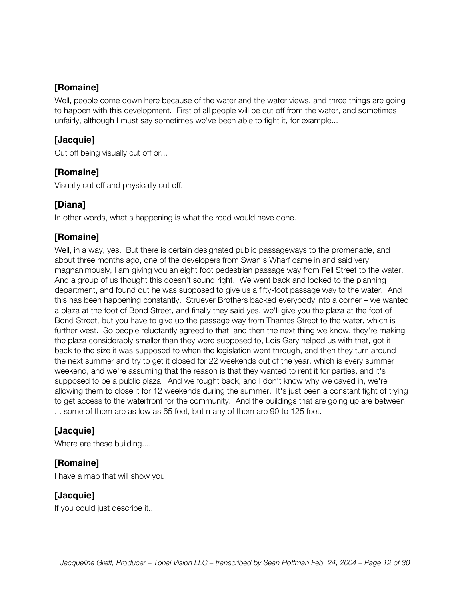Well, people come down here because of the water and the water views, and three things are going to happen with this development. First of all people will be cut off from the water, and sometimes unfairly, although I must say sometimes we've been able to fight it, for example...

# **[Jacquie]**

Cut off being visually cut off or...

#### **[Romaine]**

Visually cut off and physically cut off.

#### **[Diana]**

In other words, what's happening is what the road would have done.

#### **[Romaine]**

Well, in a way, yes. But there is certain designated public passageways to the promenade, and about three months ago, one of the developers from Swan's Wharf came in and said very magnanimously, I am giving you an eight foot pedestrian passage way from Fell Street to the water. And a group of us thought this doesn't sound right. We went back and looked to the planning department, and found out he was supposed to give us a fifty-foot passage way to the water. And this has been happening constantly. Struever Brothers backed everybody into a corner – we wanted a plaza at the foot of Bond Street, and finally they said yes, we'll give you the plaza at the foot of Bond Street, but you have to give up the passage way from Thames Street to the water, which is further west. So people reluctantly agreed to that, and then the next thing we know, they're making the plaza considerably smaller than they were supposed to, Lois Gary helped us with that, got it back to the size it was supposed to when the legislation went through, and then they turn around the next summer and try to get it closed for 22 weekends out of the year, which is every summer weekend, and we're assuming that the reason is that they wanted to rent it for parties, and it's supposed to be a public plaza. And we fought back, and I don't know why we caved in, we're allowing them to close it for 12 weekends during the summer. It's just been a constant fight of trying to get access to the waterfront for the community. And the buildings that are going up are between ... some of them are as low as 65 feet, but many of them are 90 to 125 feet.

# **[Jacquie]**

Where are these building....

# **[Romaine]**

I have a map that will show you.

# **[Jacquie]**

If you could just describe it...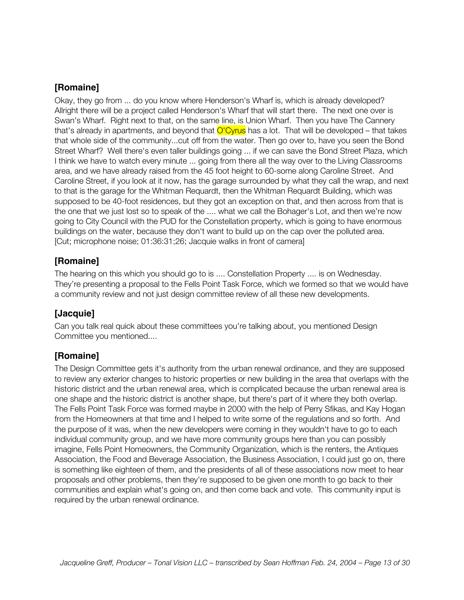Okay, they go from ... do you know where Henderson's Wharf is, which is already developed? Allright there will be a project called Henderson's Wharf that will start there. The next one over is Swan's Wharf. Right next to that, on the same line, is Union Wharf. Then you have The Cannery that's already in apartments, and beyond that  $O'Cyrus$  has a lot. That will be developed – that takes that whole side of the community...cut off from the water. Then go over to, have you seen the Bond Street Wharf? Well there's even taller buildings going ... if we can save the Bond Street Plaza, which I think we have to watch every minute ... going from there all the way over to the Living Classrooms area, and we have already raised from the 45 foot height to 60-some along Caroline Street. And Caroline Street, if you look at it now, has the garage surrounded by what they call the wrap, and next to that is the garage for the Whitman Requardt, then the Whitman Requardt Building, which was supposed to be 40-foot residences, but they got an exception on that, and then across from that is the one that we just lost so to speak of the .... what we call the Bohager's Lot, and then we're now going to City Council with the PUD for the Constellation property, which is going to have enormous buildings on the water, because they don't want to build up on the cap over the polluted area. [Cut; microphone noise; 01:36:31;26; Jacquie walks in front of camera]

#### **[Romaine]**

The hearing on this which you should go to is .... Constellation Property .... is on Wednesday. They're presenting a proposal to the Fells Point Task Force, which we formed so that we would have a community review and not just design committee review of all these new developments.

# **[Jacquie]**

Can you talk real quick about these committees you're talking about, you mentioned Design Committee you mentioned....

# **[Romaine]**

The Design Committee gets it's authority from the urban renewal ordinance, and they are supposed to review any exterior changes to historic properties or new building in the area that overlaps with the historic district and the urban renewal area, which is complicated because the urban renewal area is one shape and the historic district is another shape, but there's part of it where they both overlap. The Fells Point Task Force was formed maybe in 2000 with the help of Perry Sfikas, and Kay Hogan from the Homeowners at that time and I helped to write some of the regulations and so forth. And the purpose of it was, when the new developers were coming in they wouldn't have to go to each individual community group, and we have more community groups here than you can possibly imagine, Fells Point Homeowners, the Community Organization, which is the renters, the Antiques Association, the Food and Beverage Association, the Business Association, I could just go on, there is something like eighteen of them, and the presidents of all of these associations now meet to hear proposals and other problems, then they're supposed to be given one month to go back to their communities and explain what's going on, and then come back and vote. This community input is required by the urban renewal ordinance.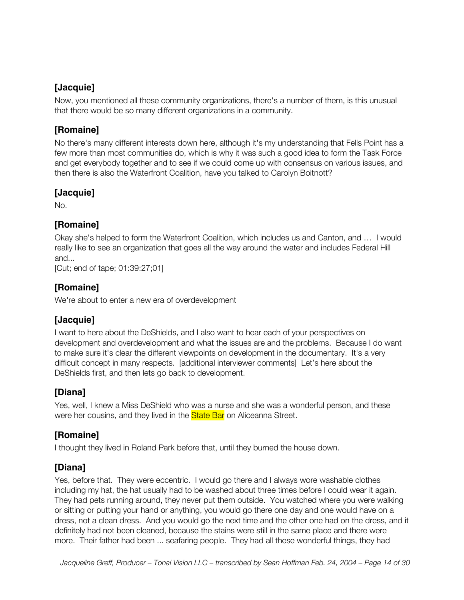Now, you mentioned all these community organizations, there's a number of them, is this unusual that there would be so many different organizations in a community.

# **[Romaine]**

No there's many different interests down here, although it's my understanding that Fells Point has a few more than most communities do, which is why it was such a good idea to form the Task Force and get everybody together and to see if we could come up with consensus on various issues, and then there is also the Waterfront Coalition, have you talked to Carolyn Boitnott?

#### **[Jacquie]**

No.

#### **[Romaine]**

Okay she's helped to form the Waterfront Coalition, which includes us and Canton, and … I would really like to see an organization that goes all the way around the water and includes Federal Hill and...

[Cut; end of tape; 01:39:27;01]

# **[Romaine]**

We're about to enter a new era of overdevelopment

# **[Jacquie]**

I want to here about the DeShields, and I also want to hear each of your perspectives on development and overdevelopment and what the issues are and the problems. Because I do want to make sure it's clear the different viewpoints on development in the documentary. It's a very difficult concept in many respects. [additional interviewer comments] Let's here about the DeShields first, and then lets go back to development.

# **[Diana]**

Yes, well, I knew a Miss DeShield who was a nurse and she was a wonderful person, and these were her cousins, and they lived in the **State Bar** on Aliceanna Street.

# **[Romaine]**

I thought they lived in Roland Park before that, until they burned the house down.

# **[Diana]**

Yes, before that. They were eccentric. I would go there and I always wore washable clothes including my hat, the hat usually had to be washed about three times before I could wear it again. They had pets running around, they never put them outside. You watched where you were walking or sitting or putting your hand or anything, you would go there one day and one would have on a dress, not a clean dress. And you would go the next time and the other one had on the dress, and it definitely had not been cleaned, because the stains were still in the same place and there were more. Their father had been ... seafaring people. They had all these wonderful things, they had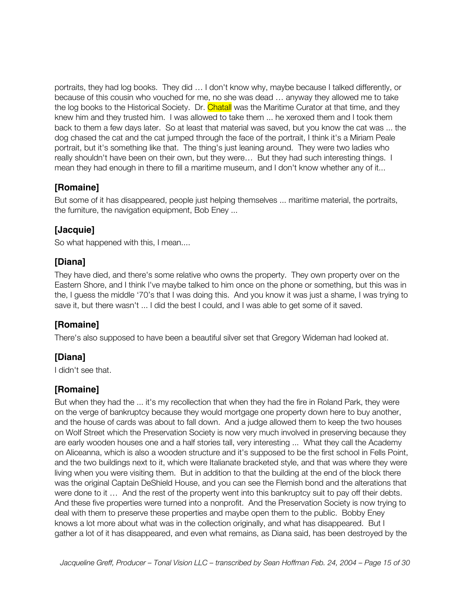portraits, they had log books. They did … I don't know why, maybe because I talked differently, or because of this cousin who vouched for me, no she was dead … anyway they allowed me to take the log books to the Historical Society. Dr. Chatall was the Maritime Curator at that time, and they knew him and they trusted him. I was allowed to take them ... he xeroxed them and I took them back to them a few days later. So at least that material was saved, but you know the cat was ... the dog chased the cat and the cat jumped through the face of the portrait, I think it's a Miriam Peale portrait, but it's something like that. The thing's just leaning around. They were two ladies who really shouldn't have been on their own, but they were… But they had such interesting things. I mean they had enough in there to fill a maritime museum, and I don't know whether any of it...

# **[Romaine]**

But some of it has disappeared, people just helping themselves ... maritime material, the portraits, the furniture, the navigation equipment, Bob Eney ...

# **[Jacquie]**

So what happened with this, I mean....

#### **[Diana]**

They have died, and there's some relative who owns the property. They own property over on the Eastern Shore, and I think I've maybe talked to him once on the phone or something, but this was in the, I guess the middle '70's that I was doing this. And you know it was just a shame, I was trying to save it, but there wasn't ... I did the best I could, and I was able to get some of it saved.

# **[Romaine]**

There's also supposed to have been a beautiful silver set that Gregory Wideman had looked at.

# **[Diana]**

I didn't see that.

# **[Romaine]**

But when they had the ... it's my recollection that when they had the fire in Roland Park, they were on the verge of bankruptcy because they would mortgage one property down here to buy another, and the house of cards was about to fall down. And a judge allowed them to keep the two houses on Wolf Street which the Preservation Society is now very much involved in preserving because they are early wooden houses one and a half stories tall, very interesting ... What they call the Academy on Aliceanna, which is also a wooden structure and it's supposed to be the first school in Fells Point, and the two buildings next to it, which were Italianate bracketed style, and that was where they were living when you were visiting them. But in addition to that the building at the end of the block there was the original Captain DeShield House, and you can see the Flemish bond and the alterations that were done to it … And the rest of the property went into this bankruptcy suit to pay off their debts. And these five properties were turned into a nonprofit. And the Preservation Society is now trying to deal with them to preserve these properties and maybe open them to the public. Bobby Eney knows a lot more about what was in the collection originally, and what has disappeared. But I gather a lot of it has disappeared, and even what remains, as Diana said, has been destroyed by the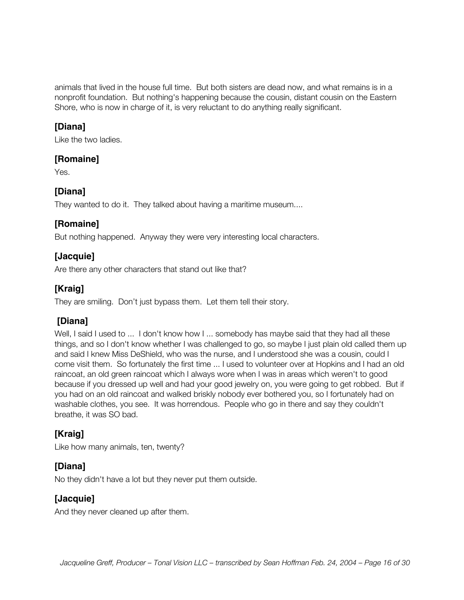animals that lived in the house full time. But both sisters are dead now, and what remains is in a nonprofit foundation. But nothing's happening because the cousin, distant cousin on the Eastern Shore, who is now in charge of it, is very reluctant to do anything really significant.

#### **[Diana]**

Like the two ladies.

#### **[Romaine]**

Yes.

# **[Diana]**

They wanted to do it. They talked about having a maritime museum....

#### **[Romaine]**

But nothing happened. Anyway they were very interesting local characters.

# **[Jacquie]**

Are there any other characters that stand out like that?

# **[Kraig]**

They are smiling. Don't just bypass them. Let them tell their story.

# **[Diana]**

Well, I said I used to ... I don't know how I ... somebody has maybe said that they had all these things, and so I don't know whether I was challenged to go, so maybe I just plain old called them up and said I knew Miss DeShield, who was the nurse, and I understood she was a cousin, could I come visit them. So fortunately the first time ... I used to volunteer over at Hopkins and I had an old raincoat, an old green raincoat which I always wore when I was in areas which weren't to good because if you dressed up well and had your good jewelry on, you were going to get robbed. But if you had on an old raincoat and walked briskly nobody ever bothered you, so I fortunately had on washable clothes, you see. It was horrendous. People who go in there and say they couldn't breathe, it was SO bad.

# **[Kraig]**

Like how many animals, ten, twenty?

# **[Diana]**

No they didn't have a lot but they never put them outside.

#### **[Jacquie]**

And they never cleaned up after them.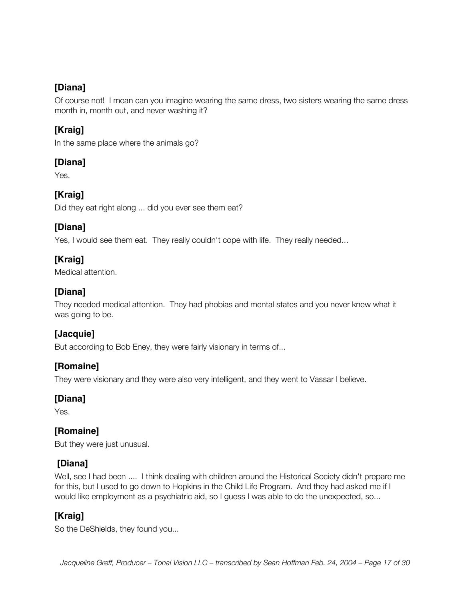Of course not! I mean can you imagine wearing the same dress, two sisters wearing the same dress month in, month out, and never washing it?

# **[Kraig]**

In the same place where the animals go?

#### **[Diana]**

Yes.

# **[Kraig]**

Did they eat right along ... did you ever see them eat?

# **[Diana]**

Yes, I would see them eat. They really couldn't cope with life. They really needed...

# **[Kraig]**

Medical attention.

# **[Diana]**

They needed medical attention. They had phobias and mental states and you never knew what it was going to be.

# **[Jacquie]**

But according to Bob Eney, they were fairly visionary in terms of...

# **[Romaine]**

They were visionary and they were also very intelligent, and they went to Vassar I believe.

#### **[Diana]**

Yes.

# **[Romaine]**

But they were just unusual.

# **[Diana]**

Well, see I had been .... I think dealing with children around the Historical Society didn't prepare me for this, but I used to go down to Hopkins in the Child Life Program. And they had asked me if I would like employment as a psychiatric aid, so I guess I was able to do the unexpected, so...

# **[Kraig]**

So the DeShields, they found you...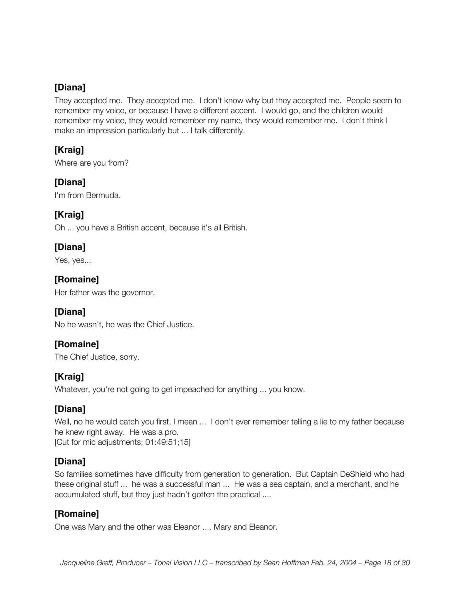They accepted me. They accepted me. I don't know why but they accepted me. People seem to remember my voice, or because I have a different accent. I would go, and the children would remember my voice, they would remember my name, they would remember me. I don't think I make an impression particularly but ... I talk differently.

# **[Kraig]**

Where are you from?

# **[Diana]**

I'm from Bermuda.

# **[Kraig]**

Oh ... you have a British accent, because it's all British.

# **[Diana]**

Yes, yes...

# **[Romaine]**

Her father was the governor.

# **[Diana]**

No he wasn't, he was the Chief Justice.

# **[Romaine]**

The Chief Justice, sorry.

# **[Kraig]**

Whatever, you're not going to get impeached for anything ... you know.

# **[Diana]**

Well, no he would catch you first, I mean ... I don't ever remember telling a lie to my father because he knew right away. He was a pro. [Cut for mic adjustments; 01:49:51;15]

# **[Diana]**

So families sometimes have difficulty from generation to generation. But Captain DeShield who had these original stuff ... he was a successful man ... He was a sea captain, and a merchant, and he accumulated stuff, but they just hadn't gotten the practical ....

# **[Romaine]**

One was Mary and the other was Eleanor .... Mary and Eleanor.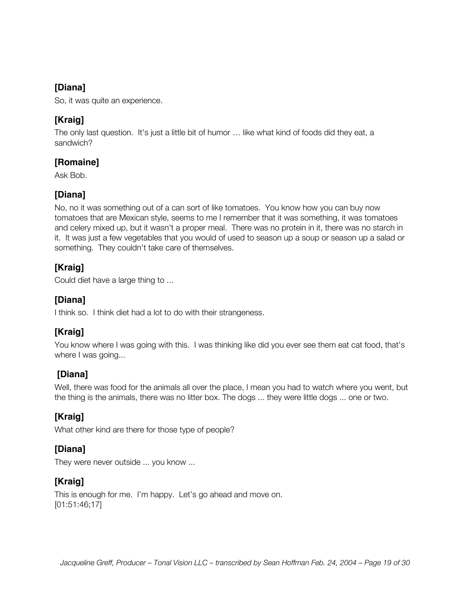So, it was quite an experience.

# **[Kraig]**

The only last question. It's just a little bit of humor … like what kind of foods did they eat, a sandwich?

# **[Romaine]**

Ask Bob.

# **[Diana]**

No, no it was something out of a can sort of like tomatoes. You know how you can buy now tomatoes that are Mexican style, seems to me I remember that it was something, it was tomatoes and celery mixed up, but it wasn't a proper meal. There was no protein in it, there was no starch in it. It was just a few vegetables that you would of used to season up a soup or season up a salad or something. They couldn't take care of themselves.

# **[Kraig]**

Could diet have a large thing to ...

# **[Diana]**

I think so. I think diet had a lot to do with their strangeness.

# **[Kraig]**

You know where I was going with this. I was thinking like did you ever see them eat cat food, that's where I was going...

# **[Diana]**

Well, there was food for the animals all over the place, I mean you had to watch where you went, but the thing is the animals, there was no litter box. The dogs ... they were little dogs ... one or two.

# **[Kraig]**

What other kind are there for those type of people?

# **[Diana]**

They were never outside ... you know ...

# **[Kraig]**

This is enough for me. I'm happy. Let's go ahead and move on. [01:51:46;17]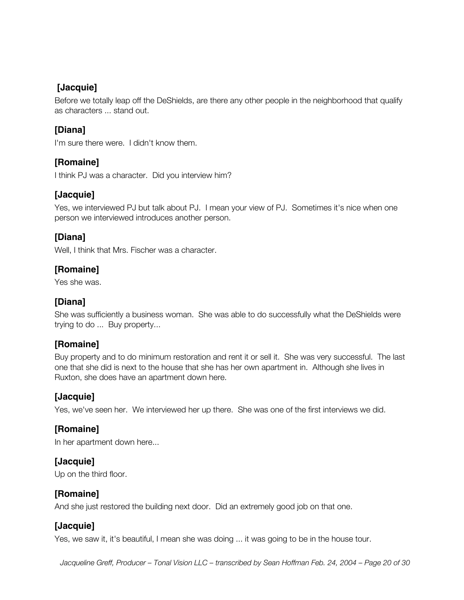Before we totally leap off the DeShields, are there any other people in the neighborhood that qualify as characters ... stand out.

# **[Diana]**

I'm sure there were. I didn't know them.

#### **[Romaine]**

I think PJ was a character. Did you interview him?

# **[Jacquie]**

Yes, we interviewed PJ but talk about PJ. I mean your view of PJ. Sometimes it's nice when one person we interviewed introduces another person.

# **[Diana]**

Well, I think that Mrs. Fischer was a character.

#### **[Romaine]**

Yes she was.

# **[Diana]**

She was sufficiently a business woman. She was able to do successfully what the DeShields were trying to do ... Buy property...

# **[Romaine]**

Buy property and to do minimum restoration and rent it or sell it. She was very successful. The last one that she did is next to the house that she has her own apartment in. Although she lives in Ruxton, she does have an apartment down here.

# **[Jacquie]**

Yes, we've seen her. We interviewed her up there. She was one of the first interviews we did.

#### **[Romaine]**

In her apartment down here...

#### **[Jacquie]**

Up on the third floor.

#### **[Romaine]**

And she just restored the building next door. Did an extremely good job on that one.

#### **[Jacquie]**

Yes, we saw it, it's beautiful, I mean she was doing ... it was going to be in the house tour.

*Jacqueline Greff, Producer – Tonal Vision LLC – transcribed by Sean Hoffman Feb. 24, 2004 – Page 20 of 30*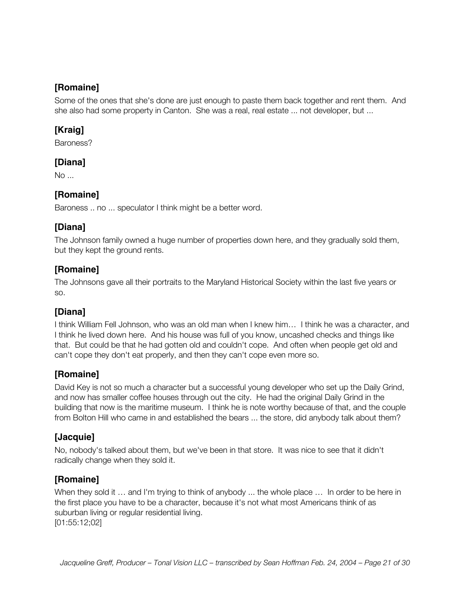Some of the ones that she's done are just enough to paste them back together and rent them. And she also had some property in Canton. She was a real, real estate ... not developer, but ...

# **[Kraig]**

Baroness?

#### **[Diana]**

No ...

# **[Romaine]**

Baroness .. no ... speculator I think might be a better word.

# **[Diana]**

The Johnson family owned a huge number of properties down here, and they gradually sold them, but they kept the ground rents.

# **[Romaine]**

The Johnsons gave all their portraits to the Maryland Historical Society within the last five years or so.

# **[Diana]**

I think William Fell Johnson, who was an old man when I knew him… I think he was a character, and I think he lived down here. And his house was full of you know, uncashed checks and things like that. But could be that he had gotten old and couldn't cope. And often when people get old and can't cope they don't eat properly, and then they can't cope even more so.

# **[Romaine]**

David Key is not so much a character but a successful young developer who set up the Daily Grind, and now has smaller coffee houses through out the city. He had the original Daily Grind in the building that now is the maritime museum. I think he is note worthy because of that, and the couple from Bolton Hill who came in and established the bears ... the store, did anybody talk about them?

# **[Jacquie]**

No, nobody's talked about them, but we've been in that store. It was nice to see that it didn't radically change when they sold it.

# **[Romaine]**

When they sold it ... and I'm trying to think of anybody ... the whole place ... In order to be here in the first place you have to be a character, because it's not what most Americans think of as suburban living or regular residential living. [01:55:12;02]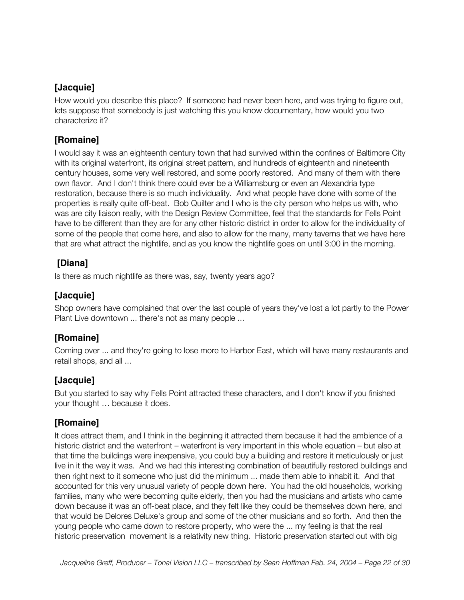How would you describe this place? If someone had never been here, and was trying to figure out, lets suppose that somebody is just watching this you know documentary, how would you two characterize it?

# **[Romaine]**

I would say it was an eighteenth century town that had survived within the confines of Baltimore City with its original waterfront, its original street pattern, and hundreds of eighteenth and nineteenth century houses, some very well restored, and some poorly restored. And many of them with there own flavor. And I don't think there could ever be a Williamsburg or even an Alexandria type restoration, because there is so much individuality. And what people have done with some of the properties is really quite off-beat. Bob Quilter and I who is the city person who helps us with, who was are city liaison really, with the Design Review Committee, feel that the standards for Fells Point have to be different than they are for any other historic district in order to allow for the individuality of some of the people that come here, and also to allow for the many, many taverns that we have here that are what attract the nightlife, and as you know the nightlife goes on until 3:00 in the morning.

# **[Diana]**

Is there as much nightlife as there was, say, twenty years ago?

# **[Jacquie]**

Shop owners have complained that over the last couple of years they've lost a lot partly to the Power Plant Live downtown ... there's not as many people ...

# **[Romaine]**

Coming over ... and they're going to lose more to Harbor East, which will have many restaurants and retail shops, and all ...

# **[Jacquie]**

But you started to say why Fells Point attracted these characters, and I don't know if you finished your thought … because it does.

# **[Romaine]**

It does attract them, and I think in the beginning it attracted them because it had the ambience of a historic district and the waterfront – waterfront is very important in this whole equation – but also at that time the buildings were inexpensive, you could buy a building and restore it meticulously or just live in it the way it was. And we had this interesting combination of beautifully restored buildings and then right next to it someone who just did the minimum ... made them able to inhabit it. And that accounted for this very unusual variety of people down here. You had the old households, working families, many who were becoming quite elderly, then you had the musicians and artists who came down because it was an off-beat place, and they felt like they could be themselves down here, and that would be Delores Deluxe's group and some of the other musicians and so forth. And then the young people who came down to restore property, who were the ... my feeling is that the real historic preservation movement is a relativity new thing. Historic preservation started out with big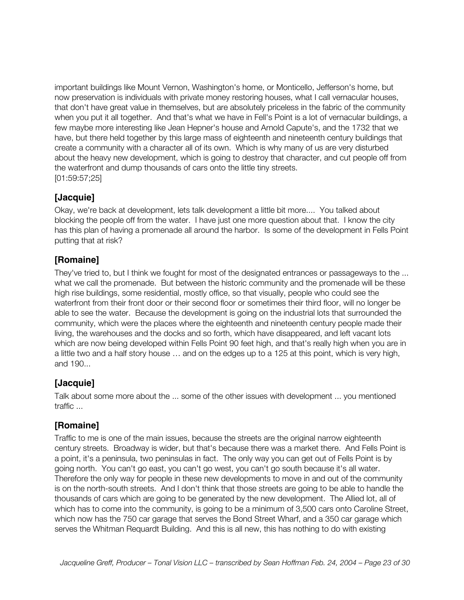important buildings like Mount Vernon, Washington's home, or Monticello, Jefferson's home, but now preservation is individuals with private money restoring houses, what I call vernacular houses, that don't have great value in themselves, but are absolutely priceless in the fabric of the community when you put it all together. And that's what we have in Fell's Point is a lot of vernacular buildings, a few maybe more interesting like Jean Hepner's house and Arnold Capute's, and the 1732 that we have, but there held together by this large mass of eighteenth and nineteenth century buildings that create a community with a character all of its own. Which is why many of us are very disturbed about the heavy new development, which is going to destroy that character, and cut people off from the waterfront and dump thousands of cars onto the little tiny streets. [01:59:57;25]

#### **[Jacquie]**

Okay, we're back at development, lets talk development a little bit more.... You talked about blocking the people off from the water. I have just one more question about that. I know the city has this plan of having a promenade all around the harbor. Is some of the development in Fells Point putting that at risk?

#### **[Romaine]**

They've tried to, but I think we fought for most of the designated entrances or passageways to the ... what we call the promenade. But between the historic community and the promenade will be these high rise buildings, some residential, mostly office, so that visually, people who could see the waterfront from their front door or their second floor or sometimes their third floor, will no longer be able to see the water. Because the development is going on the industrial lots that surrounded the community, which were the places where the eighteenth and nineteenth century people made their living, the warehouses and the docks and so forth, which have disappeared, and left vacant lots which are now being developed within Fells Point 90 feet high, and that's really high when you are in a little two and a half story house … and on the edges up to a 125 at this point, which is very high, and 190...

# **[Jacquie]**

Talk about some more about the ... some of the other issues with development ... you mentioned traffic ...

# **[Romaine]**

Traffic to me is one of the main issues, because the streets are the original narrow eighteenth century streets. Broadway is wider, but that's because there was a market there. And Fells Point is a point, it's a peninsula, two peninsulas in fact. The only way you can get out of Fells Point is by going north. You can't go east, you can't go west, you can't go south because it's all water. Therefore the only way for people in these new developments to move in and out of the community is on the north-south streets. And I don't think that those streets are going to be able to handle the thousands of cars which are going to be generated by the new development. The Allied lot, all of which has to come into the community, is going to be a minimum of 3,500 cars onto Caroline Street, which now has the 750 car garage that serves the Bond Street Wharf, and a 350 car garage which serves the Whitman Requardt Building. And this is all new, this has nothing to do with existing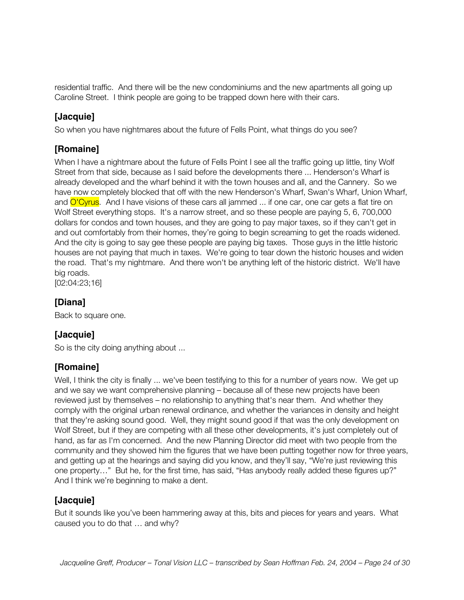residential traffic. And there will be the new condominiums and the new apartments all going up Caroline Street. I think people are going to be trapped down here with their cars.

# **[Jacquie]**

So when you have nightmares about the future of Fells Point, what things do you see?

# **[Romaine]**

When I have a nightmare about the future of Fells Point I see all the traffic going up little, tiny Wolf Street from that side, because as I said before the developments there ... Henderson's Wharf is already developed and the wharf behind it with the town houses and all, and the Cannery. So we have now completely blocked that off with the new Henderson's Wharf, Swan's Wharf, Union Wharf, and  $O'Cyrus$ . And I have visions of these cars all jammed ... if one car, one car gets a flat tire on Wolf Street everything stops. It's a narrow street, and so these people are paying 5, 6, 700,000 dollars for condos and town houses, and they are going to pay major taxes, so if they can't get in and out comfortably from their homes, they're going to begin screaming to get the roads widened. And the city is going to say gee these people are paying big taxes. Those guys in the little historic houses are not paying that much in taxes. We're going to tear down the historic houses and widen the road. That's my nightmare. And there won't be anything left of the historic district. We'll have big roads.

[02:04:23;16]

# **[Diana]**

Back to square one.

# **[Jacquie]**

So is the city doing anything about ...

# **[Romaine]**

Well, I think the city is finally ... we've been testifying to this for a number of years now. We get up and we say we want comprehensive planning – because all of these new projects have been reviewed just by themselves – no relationship to anything that's near them. And whether they comply with the original urban renewal ordinance, and whether the variances in density and height that they're asking sound good. Well, they might sound good if that was the only development on Wolf Street, but if they are competing with all these other developments, it's just completely out of hand, as far as I'm concerned. And the new Planning Director did meet with two people from the community and they showed him the figures that we have been putting together now for three years, and getting up at the hearings and saying did you know, and they'll say, "We're just reviewing this one property…" But he, for the first time, has said, "Has anybody really added these figures up?" And I think we're beginning to make a dent.

# **[Jacquie]**

But it sounds like you've been hammering away at this, bits and pieces for years and years. What caused you to do that … and why?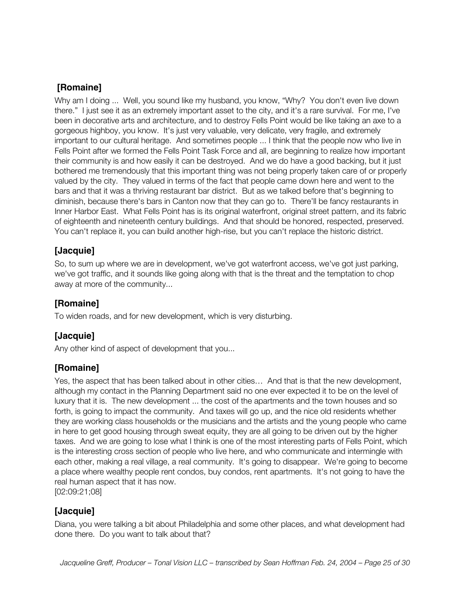Why am I doing ... Well, you sound like my husband, you know, "Why? You don't even live down there." I just see it as an extremely important asset to the city, and it's a rare survival. For me, I've been in decorative arts and architecture, and to destroy Fells Point would be like taking an axe to a gorgeous highboy, you know. It's just very valuable, very delicate, very fragile, and extremely important to our cultural heritage. And sometimes people ... I think that the people now who live in Fells Point after we formed the Fells Point Task Force and all, are beginning to realize how important their community is and how easily it can be destroyed. And we do have a good backing, but it just bothered me tremendously that this important thing was not being properly taken care of or properly valued by the city. They valued in terms of the fact that people came down here and went to the bars and that it was a thriving restaurant bar district. But as we talked before that's beginning to diminish, because there's bars in Canton now that they can go to. There'll be fancy restaurants in Inner Harbor East. What Fells Point has is its original waterfront, original street pattern, and its fabric of eighteenth and nineteenth century buildings. And that should be honored, respected, preserved. You can't replace it, you can build another high-rise, but you can't replace the historic district.

# **[Jacquie]**

So, to sum up where we are in development, we've got waterfront access, we've got just parking, we've got traffic, and it sounds like going along with that is the threat and the temptation to chop away at more of the community...

# **[Romaine]**

To widen roads, and for new development, which is very disturbing.

# **[Jacquie]**

Any other kind of aspect of development that you...

# **[Romaine]**

Yes, the aspect that has been talked about in other cities… And that is that the new development, although my contact in the Planning Department said no one ever expected it to be on the level of luxury that it is. The new development ... the cost of the apartments and the town houses and so forth, is going to impact the community. And taxes will go up, and the nice old residents whether they are working class households or the musicians and the artists and the young people who came in here to get good housing through sweat equity, they are all going to be driven out by the higher taxes. And we are going to lose what I think is one of the most interesting parts of Fells Point, which is the interesting cross section of people who live here, and who communicate and intermingle with each other, making a real village, a real community. It's going to disappear. We're going to become a place where wealthy people rent condos, buy condos, rent apartments. It's not going to have the real human aspect that it has now.

[02:09:21;08]

# **[Jacquie]**

Diana, you were talking a bit about Philadelphia and some other places, and what development had done there. Do you want to talk about that?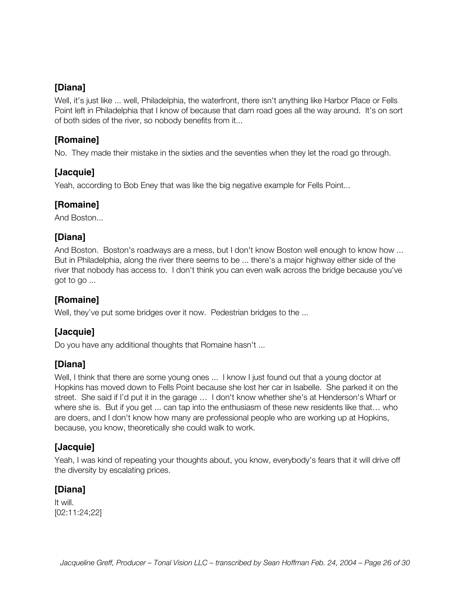Well, it's just like ... well, Philadelphia, the waterfront, there isn't anything like Harbor Place or Fells Point left in Philadelphia that I know of because that darn road goes all the way around. It's on sort of both sides of the river, so nobody benefits from it...

#### **[Romaine]**

No. They made their mistake in the sixties and the seventies when they let the road go through.

#### **[Jacquie]**

Yeah, according to Bob Eney that was like the big negative example for Fells Point...

#### **[Romaine]**

And Boston...

#### **[Diana]**

And Boston. Boston's roadways are a mess, but I don't know Boston well enough to know how ... But in Philadelphia, along the river there seems to be ... there's a major highway either side of the river that nobody has access to. I don't think you can even walk across the bridge because you've got to go ...

#### **[Romaine]**

Well, they've put some bridges over it now. Pedestrian bridges to the ...

# **[Jacquie]**

Do you have any additional thoughts that Romaine hasn't ...

# **[Diana]**

Well, I think that there are some young ones ... I know I just found out that a young doctor at Hopkins has moved down to Fells Point because she lost her car in Isabelle. She parked it on the street. She said if I'd put it in the garage … I don't know whether she's at Henderson's Wharf or where she is. But if you get ... can tap into the enthusiasm of these new residents like that… who are doers, and I don't know how many are professional people who are working up at Hopkins, because, you know, theoretically she could walk to work.

# **[Jacquie]**

Yeah, I was kind of repeating your thoughts about, you know, everybody's fears that it will drive off the diversity by escalating prices.

# **[Diana]**

It will. [02:11:24;22]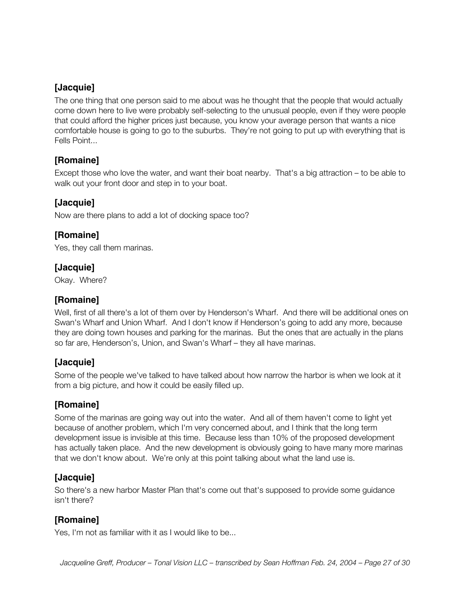The one thing that one person said to me about was he thought that the people that would actually come down here to live were probably self-selecting to the unusual people, even if they were people that could afford the higher prices just because, you know your average person that wants a nice comfortable house is going to go to the suburbs. They're not going to put up with everything that is Fells Point...

#### **[Romaine]**

Except those who love the water, and want their boat nearby. That's a big attraction – to be able to walk out your front door and step in to your boat.

# **[Jacquie]**

Now are there plans to add a lot of docking space too?

#### **[Romaine]**

Yes, they call them marinas.

#### **[Jacquie]**

Okay. Where?

#### **[Romaine]**

Well, first of all there's a lot of them over by Henderson's Wharf. And there will be additional ones on Swan's Wharf and Union Wharf. And I don't know if Henderson's going to add any more, because they are doing town houses and parking for the marinas. But the ones that are actually in the plans so far are, Henderson's, Union, and Swan's Wharf – they all have marinas.

#### **[Jacquie]**

Some of the people we've talked to have talked about how narrow the harbor is when we look at it from a big picture, and how it could be easily filled up.

#### **[Romaine]**

Some of the marinas are going way out into the water. And all of them haven't come to light yet because of another problem, which I'm very concerned about, and I think that the long term development issue is invisible at this time. Because less than 10% of the proposed development has actually taken place. And the new development is obviously going to have many more marinas that we don't know about. We're only at this point talking about what the land use is.

# **[Jacquie]**

So there's a new harbor Master Plan that's come out that's supposed to provide some guidance isn't there?

# **[Romaine]**

Yes, I'm not as familiar with it as I would like to be...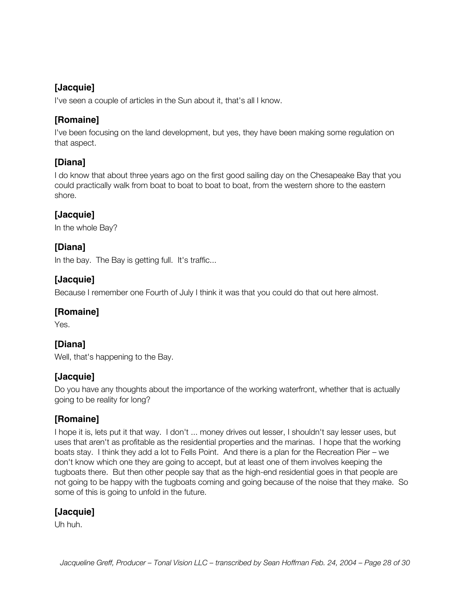I've seen a couple of articles in the Sun about it, that's all I know.

# **[Romaine]**

I've been focusing on the land development, but yes, they have been making some regulation on that aspect.

# **[Diana]**

I do know that about three years ago on the first good sailing day on the Chesapeake Bay that you could practically walk from boat to boat to boat to boat, from the western shore to the eastern shore.

# **[Jacquie]**

In the whole Bay?

# **[Diana]**

In the bay. The Bay is getting full. It's traffic...

# **[Jacquie]**

Because I remember one Fourth of July I think it was that you could do that out here almost.

# **[Romaine]**

Yes.

# **[Diana]**

Well, that's happening to the Bay.

# **[Jacquie]**

Do you have any thoughts about the importance of the working waterfront, whether that is actually going to be reality for long?

# **[Romaine]**

I hope it is, lets put it that way. I don't ... money drives out lesser, I shouldn't say lesser uses, but uses that aren't as profitable as the residential properties and the marinas. I hope that the working boats stay. I think they add a lot to Fells Point. And there is a plan for the Recreation Pier – we don't know which one they are going to accept, but at least one of them involves keeping the tugboats there. But then other people say that as the high-end residential goes in that people are not going to be happy with the tugboats coming and going because of the noise that they make. So some of this is going to unfold in the future.

# **[Jacquie]**

Uh huh.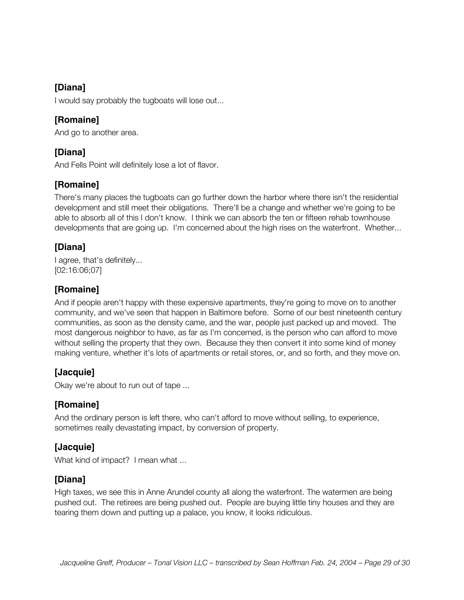I would say probably the tugboats will lose out...

# **[Romaine]**

And go to another area.

# **[Diana]**

And Fells Point will definitely lose a lot of flavor.

# **[Romaine]**

There's many places the tugboats can go further down the harbor where there isn't the residential development and still meet their obligations. There'll be a change and whether we're going to be able to absorb all of this I don't know. I think we can absorb the ten or fifteen rehab townhouse developments that are going up. I'm concerned about the high rises on the waterfront. Whether...

# **[Diana]**

I agree, that's definitely... [02:16:06;07]

# **[Romaine]**

And if people aren't happy with these expensive apartments, they're going to move on to another community, and we've seen that happen in Baltimore before. Some of our best nineteenth century communities, as soon as the density came, and the war, people just packed up and moved. The most dangerous neighbor to have, as far as I'm concerned, is the person who can afford to move without selling the property that they own. Because they then convert it into some kind of money making venture, whether it's lots of apartments or retail stores, or, and so forth, and they move on.

# **[Jacquie]**

Okay we're about to run out of tape ...

# **[Romaine]**

And the ordinary person is left there, who can't afford to move without selling, to experience, sometimes really devastating impact, by conversion of property.

# **[Jacquie]**

What kind of impact? I mean what ...

# **[Diana]**

High taxes, we see this in Anne Arundel county all along the waterfront. The watermen are being pushed out. The retirees are being pushed out. People are buying little tiny houses and they are tearing them down and putting up a palace, you know, it looks ridiculous.